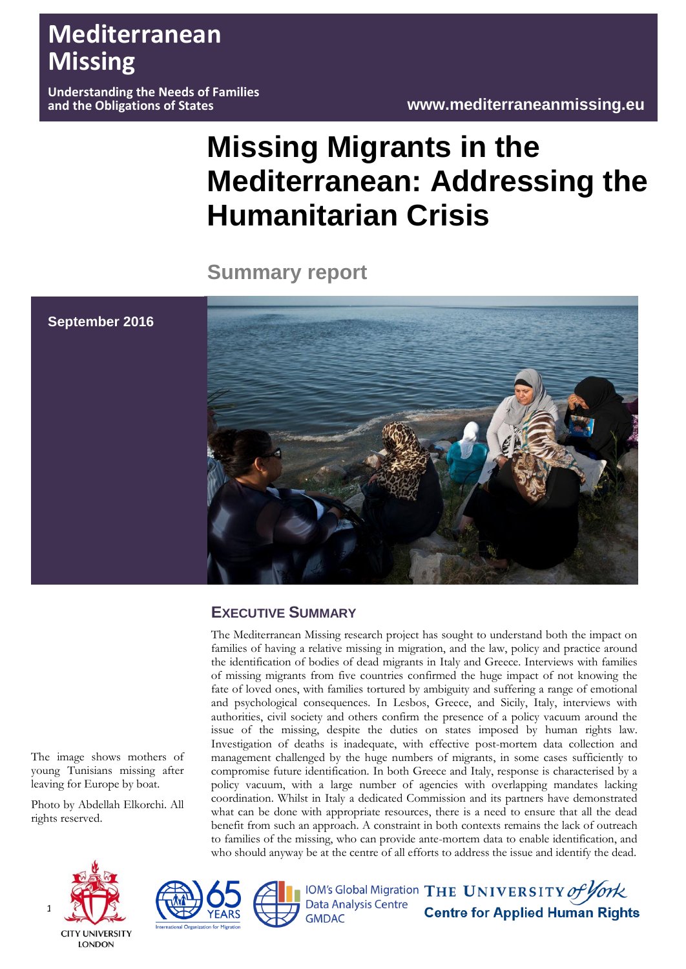# **Mediterranean Missing**

**September 2016**

**Understanding the Needs of Families** 

# **Missing Migrants in the Mediterranean: Addressing the Humanitarian Crisis**

**Summary report**



# **EXECUTIVE SUMMARY**

The Mediterranean Missing research project has sought to understand both the impact on families of having a relative missing in migration, and the law, policy and practice around the identification of bodies of dead migrants in Italy and Greece. Interviews with families of missing migrants from five countries confirmed the huge impact of not knowing the fate of loved ones, with families tortured by ambiguity and suffering a range of emotional and psychological consequences. In Lesbos, Greece, and Sicily, Italy, interviews with authorities, civil society and others confirm the presence of a policy vacuum around the issue of the missing, despite the duties on states imposed by human rights law. Investigation of deaths is inadequate, with effective post-mortem data collection and management challenged by the huge numbers of migrants, in some cases sufficiently to compromise future identification. In both Greece and Italy, response is characterised by a policy vacuum, with a large number of agencies with overlapping mandates lacking coordination. Whilst in Italy a dedicated Commission and its partners have demonstrated what can be done with appropriate resources, there is a need to ensure that all the dead benefit from such an approach. A constraint in both contexts remains the lack of outreach to families of the missing, who can provide ante-mortem data to enable identification, and who should anyway be at the centre of all efforts to address the issue and identify the dead.

The image shows mothers of young Tunisians missing after leaving for Europe by boat.

Photo by Abdellah Elkorchi. All rights reserved.







**GMDAC** 

IOM's Global Migration THE UNIVERSITY of York<br>Data Analysis Centre<br>GMDAC **Centre for Applied Human Rights**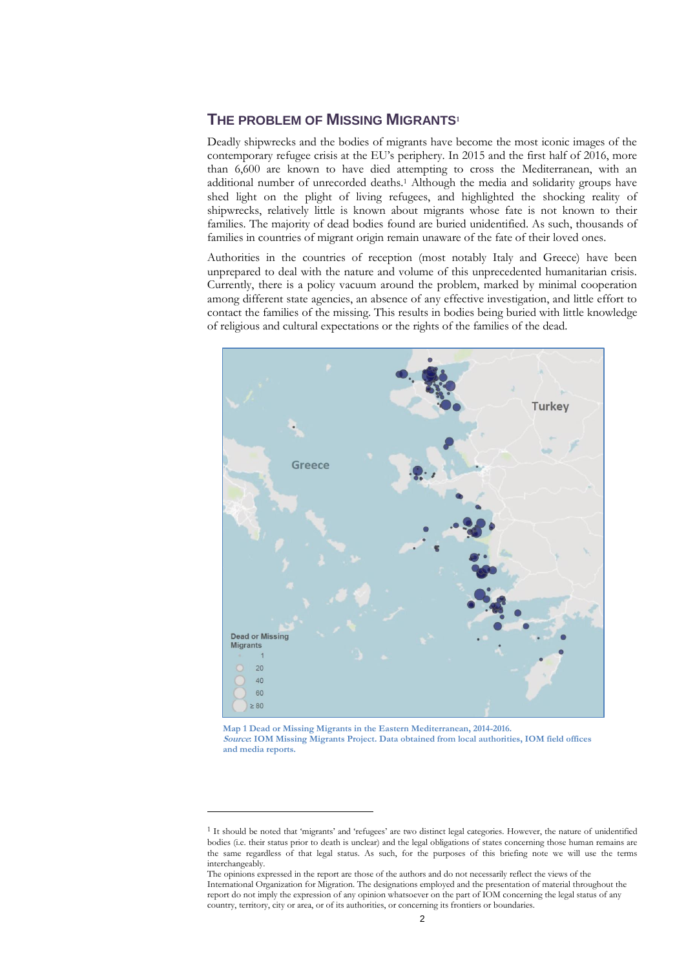# **THE PROBLEM OF MISSING MIGRANTS<sup>1</sup>**

Deadly shipwrecks and the bodies of migrants have become the most iconic images of the contemporary refugee crisis at the EU's periphery. In 2015 and the first half of 2016, more than 6,600 are known to have died attempting to cross the Mediterranean, with an additional number of unrecorded deaths.<sup>1</sup> Although the media and solidarity groups have shed light on the plight of living refugees, and highlighted the shocking reality of shipwrecks, relatively little is known about migrants whose fate is not known to their families. The majority of dead bodies found are buried unidentified. As such, thousands of families in countries of migrant origin remain unaware of the fate of their loved ones.

Authorities in the countries of reception (most notably Italy and Greece) have been unprepared to deal with the nature and volume of this unprecedented humanitarian crisis. Currently, there is a policy vacuum around the problem, marked by minimal cooperation among different state agencies, an absence of any effective investigation, and little effort to contact the families of the missing. This results in bodies being buried with little knowledge of religious and cultural expectations or the rights of the families of the dead.



**Map 1 Dead or Missing Migrants in the Eastern Mediterranean, 2014-2016. Source: IOM Missing Migrants Project. Data obtained from local authorities, IOM field offices and media reports.**

<sup>&</sup>lt;sup>1</sup> It should be noted that 'migrants' and 'refugees' are two distinct legal categories. However, the nature of unidentified bodies (i.e. their status prior to death is unclear) and the legal obligations of states concerning those human remains are the same regardless of that legal status. As such, for the purposes of this briefing note we will use the terms interchangeably.

The opinions expressed in the report are those of the authors and do not necessarily reflect the views of the International Organization for Migration. The designations employed and the presentation of material throughout the report do not imply the expression of any opinion whatsoever on the part of IOM concerning the legal status of any country, territory, city or area, or of its authorities, or concerning its frontiers or boundaries.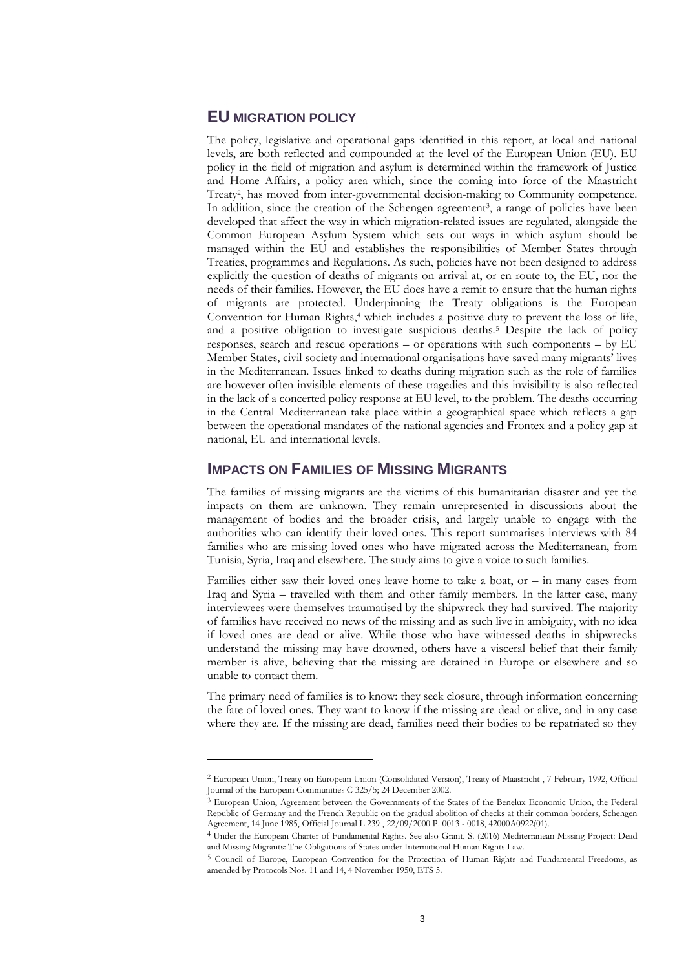## **EU MIGRATION POLICY**

-

The policy, legislative and operational gaps identified in this report, at local and national levels, are both reflected and compounded at the level of the European Union (EU). EU policy in the field of migration and asylum is determined within the framework of Justice and Home Affairs, a policy area which, since the coming into force of the Maastricht Treaty<sup>2</sup> , has moved from inter-governmental decision-making to Community competence. In addition, since the creation of the Schengen agreement<sup>3</sup>, a range of policies have been developed that affect the way in which migration-related issues are regulated, alongside the Common European Asylum System which sets out ways in which asylum should be managed within the EU and establishes the responsibilities of Member States through Treaties, programmes and Regulations. As such, policies have not been designed to address explicitly the question of deaths of migrants on arrival at, or en route to, the EU, nor the needs of their families. However, the EU does have a remit to ensure that the human rights of migrants are protected. Underpinning the Treaty obligations is the European Convention for Human Rights,<sup>4</sup> which includes a positive duty to prevent the loss of life, and a positive obligation to investigate suspicious deaths.<sup>5</sup> Despite the lack of policy responses, search and rescue operations – or operations with such components – by EU Member States, civil society and international organisations have saved many migrants' lives in the Mediterranean. Issues linked to deaths during migration such as the role of families are however often invisible elements of these tragedies and this invisibility is also reflected in the lack of a concerted policy response at EU level, to the problem. The deaths occurring in the Central Mediterranean take place within a geographical space which reflects a gap between the operational mandates of the national agencies and Frontex and a policy gap at national, EU and international levels.

#### **IMPACTS ON FAMILIES OF MISSING MIGRANTS**

The families of missing migrants are the victims of this humanitarian disaster and yet the impacts on them are unknown. They remain unrepresented in discussions about the management of bodies and the broader crisis, and largely unable to engage with the authorities who can identify their loved ones. This report summarises interviews with 84 families who are missing loved ones who have migrated across the Mediterranean, from Tunisia, Syria, Iraq and elsewhere. The study aims to give a voice to such families.

Families either saw their loved ones leave home to take a boat, or  $-$  in many cases from Iraq and Syria – travelled with them and other family members. In the latter case, many interviewees were themselves traumatised by the shipwreck they had survived. The majority of families have received no news of the missing and as such live in ambiguity, with no idea if loved ones are dead or alive. While those who have witnessed deaths in shipwrecks understand the missing may have drowned, others have a visceral belief that their family member is alive, believing that the missing are detained in Europe or elsewhere and so unable to contact them.

The primary need of families is to know: they seek closure, through information concerning the fate of loved ones. They want to know if the missing are dead or alive, and in any case where they are. If the missing are dead, families need their bodies to be repatriated so they

<sup>2</sup> European Union, Treaty on European Union (Consolidated Version), Treaty of Maastricht , 7 February 1992, Official Journal of the European Communities C 325/5; 24 December 2002.

<sup>&</sup>lt;sup>3</sup> European Union, Agreement between the Governments of the States of the Benelux Economic Union, the Federal Republic of Germany and the French Republic on the gradual abolition of checks at their common borders, Schengen Agreement, 14 June 1985, Official Journal L 239 , 22/09/2000 P. 0013 - 0018, 42000A0922(01).

<sup>4</sup> Under the European Charter of Fundamental Rights. See also Grant, S. (2016) Mediterranean Missing Project: Dead and Missing Migrants: The Obligations of States under International Human Rights Law.

<sup>5</sup> Council of Europe, European Convention for the Protection of Human Rights and Fundamental Freedoms, as amended by Protocols Nos. 11 and 14, 4 November 1950, ETS 5.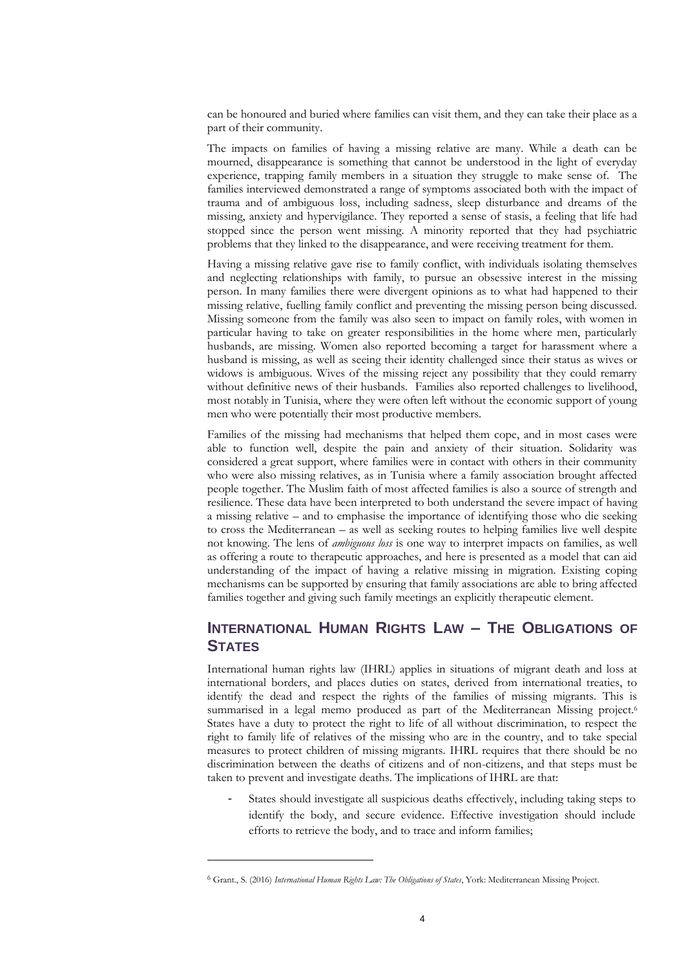can be honoured and buried where families can visit them, and they can take their place as a part of their community.

The impacts on families of having a missing relative are many. While a death can be mourned, disappearance is something that cannot be understood in the light of everyday experience, trapping family members in a situation they struggle to make sense of. The families interviewed demonstrated a range of symptoms associated both with the impact of trauma and of ambiguous loss, including sadness, sleep disturbance and dreams of the missing, anxiety and hypervigilance. They reported a sense of stasis, a feeling that life had stopped since the person went missing. A minority reported that they had psychiatric problems that they linked to the disappearance, and were receiving treatment for them.

Having a missing relative gave rise to family conflict, with individuals isolating themselves and neglecting relationships with family, to pursue an obsessive interest in the missing person. In many families there were divergent opinions as to what had happened to their missing relative, fuelling family conflict and preventing the missing person being discussed. Missing someone from the family was also seen to impact on family roles, with women in particular having to take on greater responsibilities in the home where men, particularly husbands, are missing. Women also reported becoming a target for harassment where a husband is missing, as well as seeing their identity challenged since their status as wives or widows is ambiguous. Wives of the missing reject any possibility that they could remarry without definitive news of their husbands. Families also reported challenges to livelihood, most notably in Tunisia, where they were often left without the economic support of young men who were potentially their most productive members.

Families of the missing had mechanisms that helped them cope, and in most cases were able to function well, despite the pain and anxiety of their situation. Solidarity was considered a great support, where families were in contact with others in their community who were also missing relatives, as in Tunisia where a family association brought affected people together. The Muslim faith of most affected families is also a source of strength and resilience. These data have been interpreted to both understand the severe impact of having a missing relative – and to emphasise the importance of identifying those who die seeking to cross the Mediterranean – as well as seeking routes to helping families live well despite not knowing. The lens of *ambiguous loss* is one way to interpret impacts on families, as well as offering a route to therapeutic approaches, and here is presented as a model that can aid understanding of the impact of having a relative missing in migration. Existing coping mechanisms can be supported by ensuring that family associations are able to bring affected families together and giving such family meetings an explicitly therapeutic element.

# **INTERNATIONAL HUMAN RIGHTS LAW – THE OBLIGATIONS OF STATES**

International human rights law (IHRL) applies in situations of migrant death and loss at international borders, and places duties on states, derived from international treaties, to identify the dead and respect the rights of the families of missing migrants. This is summarised in a legal memo produced as part of the Mediterranean Missing project.<sup>6</sup> States have a duty to protect the right to life of all without discrimination, to respect the right to family life of relatives of the missing who are in the country, and to take special measures to protect children of missing migrants. IHRL requires that there should be no discrimination between the deaths of citizens and of non-citizens, and that steps must be taken to prevent and investigate deaths. The implications of IHRL are that:

States should investigate all suspicious deaths effectively, including taking steps to identify the body, and secure evidence. Effective investigation should include efforts to retrieve the body, and to trace and inform families;

<sup>6</sup> Grant., S. (2016) *International Human Rights Law: The Obligations of States*, York: Mediterranean Missing Project.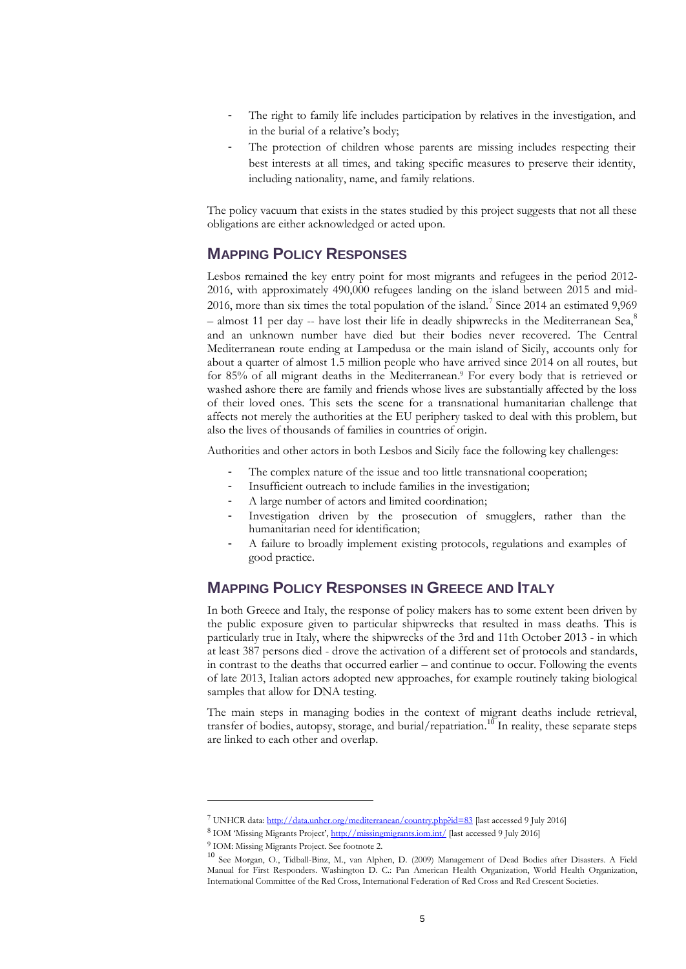- The right to family life includes participation by relatives in the investigation, and in the burial of a relative's body;
- The protection of children whose parents are missing includes respecting their best interests at all times, and taking specific measures to preserve their identity, including nationality, name, and family relations.

The policy vacuum that exists in the states studied by this project suggests that not all these obligations are either acknowledged or acted upon.

# **MAPPING POLICY RESPONSES**

Lesbos remained the key entry point for most migrants and refugees in the period 2012- 2016, with approximately 490,000 refugees landing on the island between 2015 and mid-2016, more than six times the total population of the island.<sup>7</sup> Since 2014 an estimated 9,969  $-$  almost 11 per day -- have lost their life in deadly shipwrecks in the Mediterranean Sea, $^8$ and an unknown number have died but their bodies never recovered. The Central Mediterranean route ending at Lampedusa or the main island of Sicily, accounts only for about a quarter of almost 1.5 million people who have arrived since 2014 on all routes, but for 85% of all migrant deaths in the Mediterranean. <sup>9</sup> For every body that is retrieved or washed ashore there are family and friends whose lives are substantially affected by the loss of their loved ones. This sets the scene for a transnational humanitarian challenge that affects not merely the authorities at the EU periphery tasked to deal with this problem, but also the lives of thousands of families in countries of origin.

Authorities and other actors in both Lesbos and Sicily face the following key challenges:

- The complex nature of the issue and too little transnational cooperation;
- Insufficient outreach to include families in the investigation;
- A large number of actors and limited coordination;
- Investigation driven by the prosecution of smugglers, rather than the humanitarian need for identification;
- A failure to broadly implement existing protocols, regulations and examples of good practice.

# **MAPPING POLICY RESPONSES IN GREECE AND ITALY**

In both Greece and Italy, the response of policy makers has to some extent been driven by the public exposure given to particular shipwrecks that resulted in mass deaths. This is particularly true in Italy, where the shipwrecks of the 3rd and 11th October 2013 - in which at least 387 persons died - drove the activation of a different set of protocols and standards, in contrast to the deaths that occurred earlier – and continue to occur. Following the events of late 2013, Italian actors adopted new approaches, for example routinely taking biological samples that allow for DNA testing.

The main steps in managing bodies in the context of migrant deaths include retrieval, transfer of bodies, autopsy, storage, and burial/repatriation.<sup>10</sup> In reality, these separate steps are linked to each other and overlap.

<sup>7</sup> UNHCR data[: http://data.unhcr.org/mediterranean/country.php?id=83](http://data.unhcr.org/mediterranean/country.php?id=83) [last accessed 9 July 2016]

<sup>8</sup> IOM 'Missing Migrants Project', <http://missingmigrants.iom.int/> [last accessed 9 July 2016]

<sup>9</sup> IOM: Missing Migrants Project. See footnote 2.

<sup>10</sup> See Morgan, O., Tidball-Binz, M., van Alphen, D. (2009) Management of Dead Bodies after Disasters. A Field Manual for First Responders. Washington D. C.: Pan American Health Organization, World Health Organization, International Committee of the Red Cross, International Federation of Red Cross and Red Crescent Societies.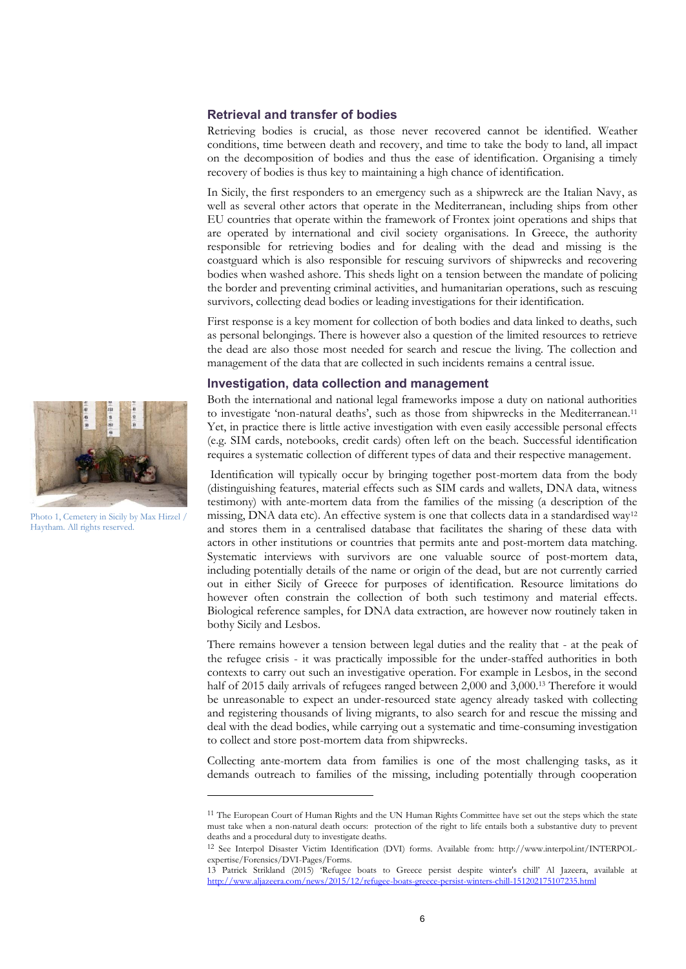#### **Retrieval and transfer of bodies**

Retrieving bodies is crucial, as those never recovered cannot be identified. Weather conditions, time between death and recovery, and time to take the body to land, all impact on the decomposition of bodies and thus the ease of identification. Organising a timely recovery of bodies is thus key to maintaining a high chance of identification.

In Sicily, the first responders to an emergency such as a shipwreck are the Italian Navy, as well as several other actors that operate in the Mediterranean, including ships from other EU countries that operate within the framework of Frontex joint operations and ships that are operated by international and civil society organisations. In Greece, the authority responsible for retrieving bodies and for dealing with the dead and missing is the coastguard which is also responsible for rescuing survivors of shipwrecks and recovering bodies when washed ashore. This sheds light on a tension between the mandate of policing the border and preventing criminal activities, and humanitarian operations, such as rescuing survivors, collecting dead bodies or leading investigations for their identification.

First response is a key moment for collection of both bodies and data linked to deaths, such as personal belongings. There is however also a question of the limited resources to retrieve the dead are also those most needed for search and rescue the living. The collection and management of the data that are collected in such incidents remains a central issue.

#### **Investigation, data collection and management**

Both the international and national legal frameworks impose a duty on national authorities to investigate 'non-natural deaths', such as those from shipwrecks in the Mediterranean. 11 Yet, in practice there is little active investigation with even easily accessible personal effects (e.g. SIM cards, notebooks, credit cards) often left on the beach. Successful identification requires a systematic collection of different types of data and their respective management.

Identification will typically occur by bringing together post-mortem data from the body (distinguishing features, material effects such as SIM cards and wallets, DNA data, witness testimony) with ante-mortem data from the families of the missing (a description of the missing, DNA data etc). An effective system is one that collects data in a standardised way<sup>12</sup> and stores them in a centralised database that facilitates the sharing of these data with actors in other institutions or countries that permits ante and post-mortem data matching. Systematic interviews with survivors are one valuable source of post-mortem data, including potentially details of the name or origin of the dead, but are not currently carried out in either Sicily of Greece for purposes of identification. Resource limitations do however often constrain the collection of both such testimony and material effects. Biological reference samples, for DNA data extraction, are however now routinely taken in bothy Sicily and Lesbos.

There remains however a tension between legal duties and the reality that - at the peak of the refugee crisis - it was practically impossible for the under-staffed authorities in both contexts to carry out such an investigative operation. For example in Lesbos, in the second half of 2015 daily arrivals of refugees ranged between 2,000 and 3,000.<sup>13</sup> Therefore it would be unreasonable to expect an under-resourced state agency already tasked with collecting and registering thousands of living migrants, to also search for and rescue the missing and deal with the dead bodies, while carrying out a systematic and time-consuming investigation to collect and store post-mortem data from shipwrecks.

Collecting ante-mortem data from families is one of the most challenging tasks, as it demands outreach to families of the missing, including potentially through cooperation



Photo 1, Cemetery in Sicily by Max Hirzel / Haytham. All rights reserved.

<sup>&</sup>lt;sup>11</sup> The European Court of Human Rights and the UN Human Rights Committee have set out the steps which the state must take when a non-natural death occurs: protection of the right to life entails both a substantive duty to prevent deaths and a procedural duty to investigate deaths.

<sup>12</sup> See Interpol Disaster Victim Identification (DVI) forms. Available from: http://www.interpol.int/INTERPOLexpertise/Forensics/DVI-Pages/Forms.

<sup>13</sup> Patrick Strikland (2015) 'Refugee boats to Greece persist despite winter's chill' Al Jazeera, available at <http://www.aljazeera.com/news/2015/12/refugee-boats-greece-persist-winters-chill-151202175107235.html>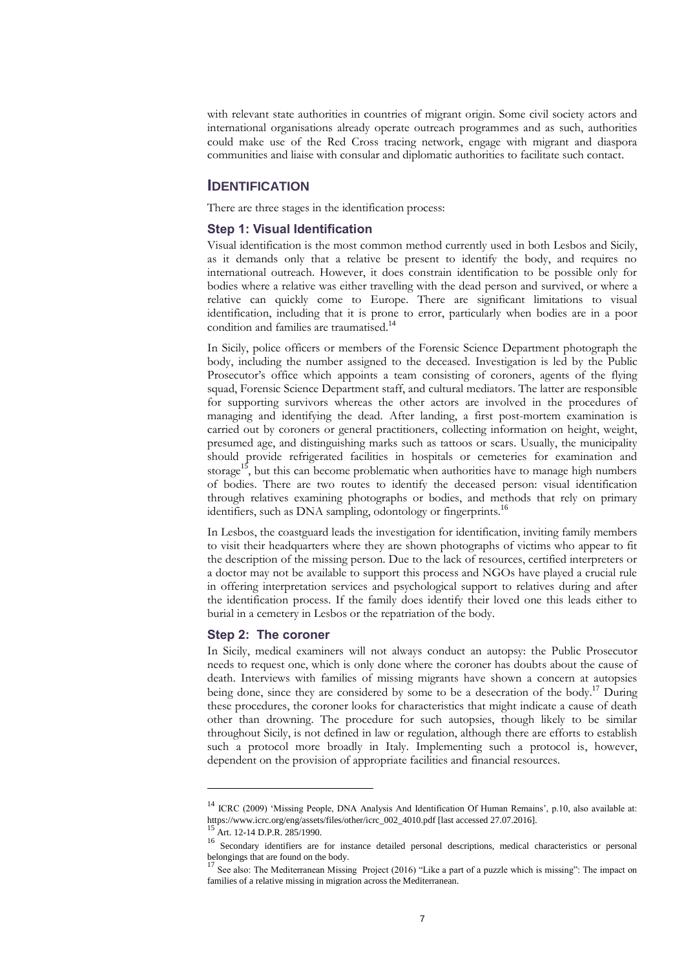with relevant state authorities in countries of migrant origin. Some civil society actors and international organisations already operate outreach programmes and as such, authorities could make use of the Red Cross tracing network, engage with migrant and diaspora communities and liaise with consular and diplomatic authorities to facilitate such contact.

#### **IDENTIFICATION**

There are three stages in the identification process:

#### **Step 1: Visual Identification**

Visual identification is the most common method currently used in both Lesbos and Sicily, as it demands only that a relative be present to identify the body, and requires no international outreach. However, it does constrain identification to be possible only for bodies where a relative was either travelling with the dead person and survived, or where a relative can quickly come to Europe. There are significant limitations to visual identification, including that it is prone to error, particularly when bodies are in a poor condition and families are traumatised.<sup>14</sup>

In Sicily, police officers or members of the Forensic Science Department photograph the body, including the number assigned to the deceased. Investigation is led by the Public Prosecutor's office which appoints a team consisting of coroners, agents of the flying squad, Forensic Science Department staff, and cultural mediators. The latter are responsible for supporting survivors whereas the other actors are involved in the procedures of managing and identifying the dead. After landing, a first post-mortem examination is carried out by coroners or general practitioners, collecting information on height, weight, presumed age, and distinguishing marks such as tattoos or scars. Usually, the municipality should provide refrigerated facilities in hospitals or cemeteries for examination and storage<sup>15</sup>, but this can become problematic when authorities have to manage high numbers of bodies. There are two routes to identify the deceased person: visual identification through relatives examining photographs or bodies, and methods that rely on primary identifiers, such as DNA sampling, odontology or fingerprints.<sup>16</sup>

In Lesbos, the coastguard leads the investigation for identification, inviting family members to visit their headquarters where they are shown photographs of victims who appear to fit the description of the missing person. Due to the lack of resources, certified interpreters or a doctor may not be available to support this process and NGOs have played a crucial rule in offering interpretation services and psychological support to relatives during and after the identification process. If the family does identify their loved one this leads either to burial in a cemetery in Lesbos or the repatriation of the body.

#### **Step 2: The coroner**

In Sicily, medical examiners will not always conduct an autopsy: the Public Prosecutor needs to request one, which is only done where the coroner has doubts about the cause of death. Interviews with families of missing migrants have shown a concern at autopsies being done, since they are considered by some to be a desecration of the body.<sup>17</sup> During these procedures, the coroner looks for characteristics that might indicate a cause of death other than drowning. The procedure for such autopsies, though likely to be similar throughout Sicily, is not defined in law or regulation, although there are efforts to establish such a protocol more broadly in Italy. Implementing such a protocol is, however, dependent on the provision of appropriate facilities and financial resources.

**.** 

<sup>&</sup>lt;sup>14</sup> ICRC (2009) 'Missing People, DNA Analysis And Identification Of Human Remains', p.10, also available at: https://www.icrc.org/eng/assets/files/other/icrc\_002\_4010.pdf [last accessed 27.07.2016].

Art. 12-14 D.P.R. 285/1990.

<sup>&</sup>lt;sup>16</sup> Secondary identifiers are for instance detailed personal descriptions, medical characteristics or personal belongings that are found on the body.

<sup>17</sup> See also: The Mediterranean Missing Project (2016) "Like a part of a puzzle which is missing": The impact on families of a relative missing in migration across the Mediterranean.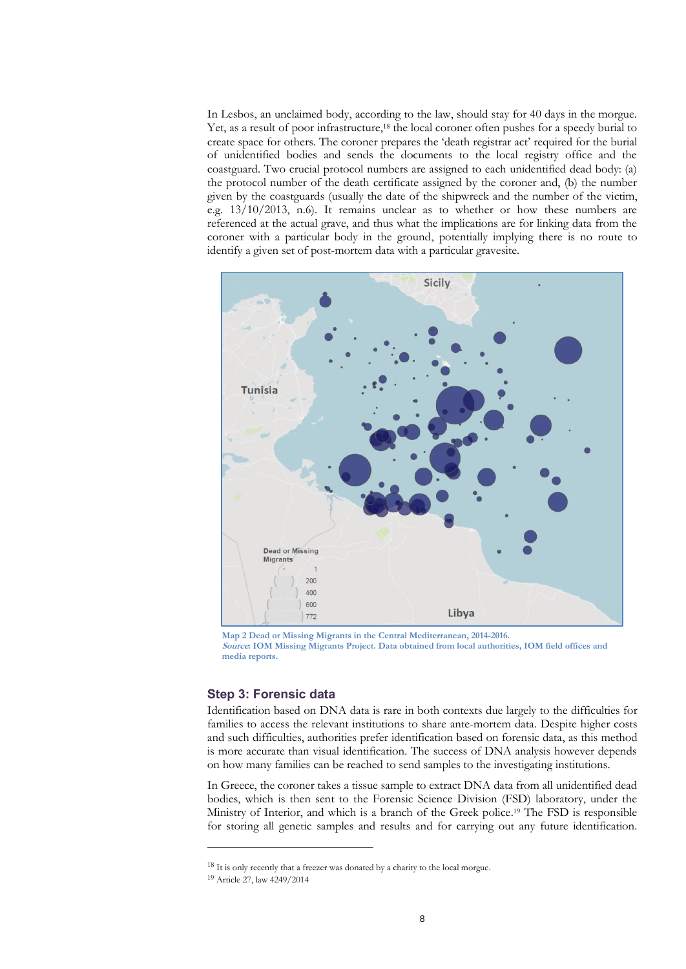In Lesbos, an unclaimed body, according to the law, should stay for 40 days in the morgue. Yet, as a result of poor infrastructure,<sup>18</sup> the local coroner often pushes for a speedy burial to create space for others. The coroner prepares the 'death registrar act' required for the burial of unidentified bodies and sends the documents to the local registry office and the coastguard. Two crucial protocol numbers are assigned to each unidentified dead body: (a) the protocol number of the death certificate assigned by the coroner and, (b) the number given by the coastguards (usually the date of the shipwreck and the number of the victim, e.g.  $13/10/2013$ , n.6). It remains unclear as to whether or how these numbers are referenced at the actual grave, and thus what the implications are for linking data from the coroner with a particular body in the ground, potentially implying there is no route to identify a given set of post-mortem data with a particular gravesite*.*



**Map 2 Dead or Missing Migrants in the Central Mediterranean, 2014-2016. Source: IOM Missing Migrants Project. Data obtained from local authorities, IOM field offices and media reports.**

#### **Step 3: Forensic data**

Identification based on DNA data is rare in both contexts due largely to the difficulties for families to access the relevant institutions to share ante-mortem data. Despite higher costs and such difficulties, authorities prefer identification based on forensic data, as this method is more accurate than visual identification. The success of DNA analysis however depends on how many families can be reached to send samples to the investigating institutions.

In Greece, the coroner takes a tissue sample to extract DNA data from all unidentified dead bodies, which is then sent to the Forensic Science Division (FSD) laboratory, under the Ministry of Interior, and which is a branch of the Greek police. <sup>19</sup> The FSD is responsible for storing all genetic samples and results and for carrying out any future identification.

<sup>&</sup>lt;sup>18</sup> It is only recently that a freezer was donated by a charity to the local morgue.

<sup>19</sup> Article 27, law 4249/2014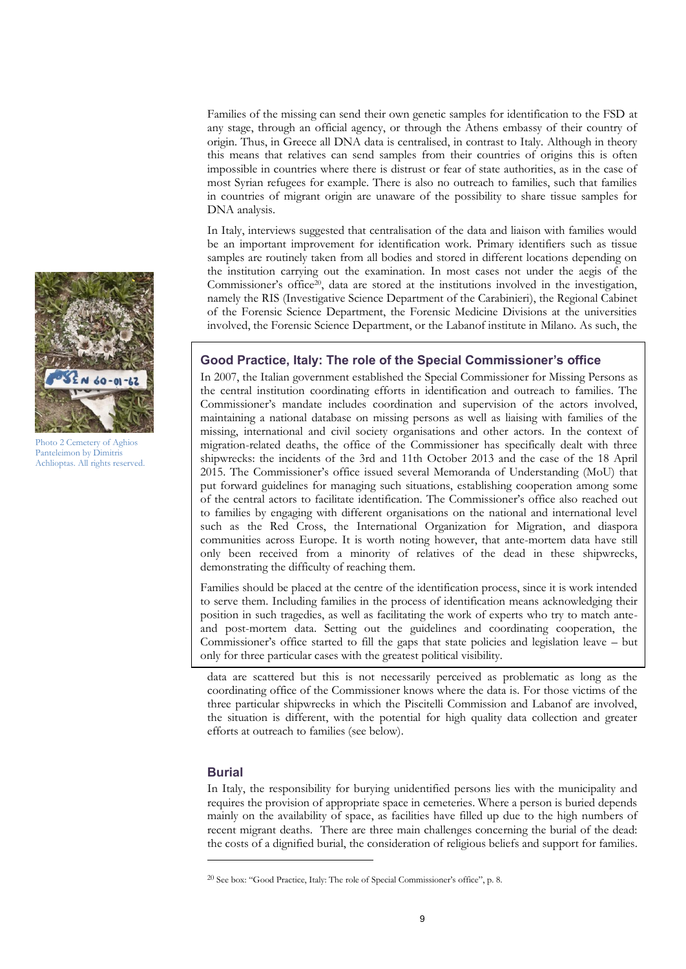Families of the missing can send their own genetic samples for identification to the FSD at any stage, through an official agency, or through the Athens embassy of their country of origin. Thus, in Greece all DNA data is centralised, in contrast to Italy. Although in theory this means that relatives can send samples from their countries of origins this is often impossible in countries where there is distrust or fear of state authorities, as in the case of most Syrian refugees for example. There is also no outreach to families, such that families in countries of migrant origin are unaware of the possibility to share tissue samples for DNA analysis.

In Italy, interviews suggested that centralisation of the data and liaison with families would be an important improvement for identification work. Primary identifiers such as tissue samples are routinely taken from all bodies and stored in different locations depending on the institution carrying out the examination. In most cases not under the aegis of the Commissioner's office<sup>20</sup>, data are stored at the institutions involved in the investigation, namely the RIS (Investigative Science Department of the Carabinieri), the Regional Cabinet of the Forensic Science Department, the Forensic Medicine Divisions at the universities involved, the Forensic Science Department, or the Labanof institute in Milano. As such, the

#### **Good Practice, Italy: The role of the Special Commissioner's office**

In 2007, the Italian government established the Special Commissioner for Missing Persons as the central institution coordinating efforts in identification and outreach to families. The Commissioner's mandate includes coordination and supervision of the actors involved, maintaining a national database on missing persons as well as liaising with families of the missing, international and civil society organisations and other actors. In the context of migration-related deaths, the office of the Commissioner has specifically dealt with three shipwrecks: the incidents of the 3rd and 11th October 2013 and the case of the 18 April 2015. The Commissioner's office issued several Memoranda of Understanding (MoU) that put forward guidelines for managing such situations, establishing cooperation among some of the central actors to facilitate identification. The Commissioner's office also reached out to families by engaging with different organisations on the national and international level such as the Red Cross, the International Organization for Migration, and diaspora communities across Europe. It is worth noting however, that ante-mortem data have still only been received from a minority of relatives of the dead in these shipwrecks, demonstrating the difficulty of reaching them.

Families should be placed at the centre of the identification process, since it is work intended to serve them. Including families in the process of identification means acknowledging their position in such tragedies, as well as facilitating the work of experts who try to match anteand post-mortem data. Setting out the guidelines and coordinating cooperation, the Commissioner's office started to fill the gaps that state policies and legislation leave – but only for three particular cases with the greatest political visibility.

data are scattered but this is not necessarily perceived as problematic as long as the coordinating office of the Commissioner knows where the data is. For those victims of the three particular shipwrecks in which the Piscitelli Commission and Labanof are involved, the situation is different, with the potential for high quality data collection and greater efforts at outreach to families (see below).

#### **Burial**

-

In Italy, the responsibility for burying unidentified persons lies with the municipality and requires the provision of appropriate space in cemeteries. Where a person is buried depends mainly on the availability of space, as facilities have filled up due to the high numbers of recent migrant deaths. There are three main challenges concerning the burial of the dead: the costs of a dignified burial, the consideration of religious beliefs and support for families.



Photo 2 Cemetery of Aghios Panteleimon by Dimitris Achlioptas. All rights reserved.

<sup>20</sup> See box: "Good Practice, Italy: The role of Special Commissioner's office", p. 8.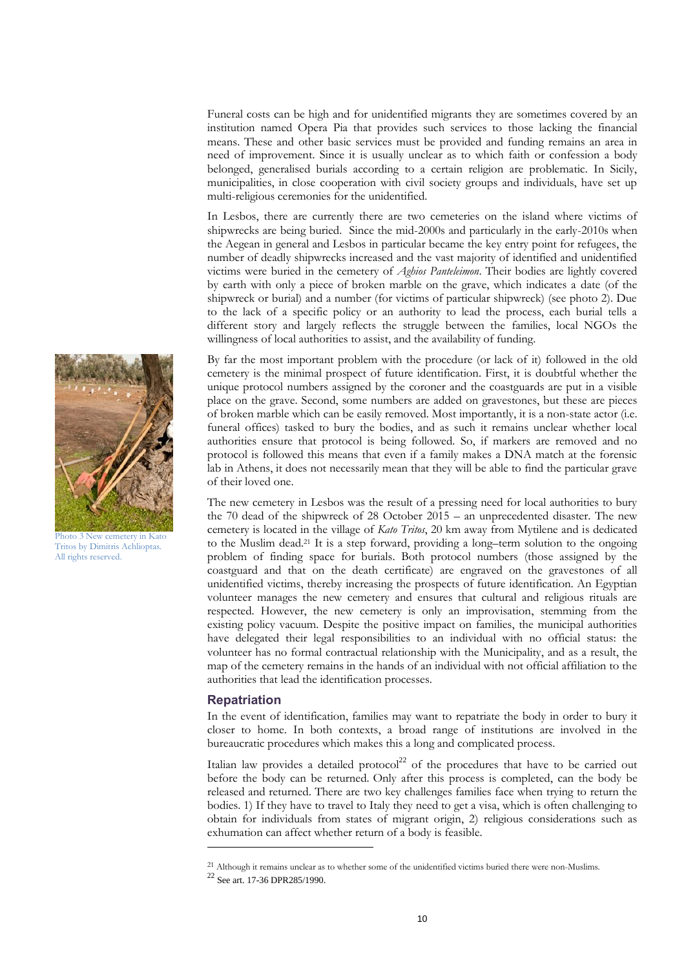Funeral costs can be high and for unidentified migrants they are sometimes covered by an institution named Opera Pia that provides such services to those lacking the financial means. These and other basic services must be provided and funding remains an area in need of improvement. Since it is usually unclear as to which faith or confession a body belonged, generalised burials according to a certain religion are problematic. In Sicily, municipalities, in close cooperation with civil society groups and individuals, have set up multi-religious ceremonies for the unidentified.

In Lesbos, there are currently there are two cemeteries on the island where victims of shipwrecks are being buried. Since the mid-2000s and particularly in the early-2010s when the Aegean in general and Lesbos in particular became the key entry point for refugees, the number of deadly shipwrecks increased and the vast majority of identified and unidentified victims were buried in the cemetery of *Aghios Panteleimon*. Their bodies are lightly covered by earth with only a piece of broken marble on the grave, which indicates a date (of the shipwreck or burial) and a number (for victims of particular shipwreck) (see photo 2). Due to the lack of a specific policy or an authority to lead the process, each burial tells a different story and largely reflects the struggle between the families, local NGOs the willingness of local authorities to assist, and the availability of funding.

By far the most important problem with the procedure (or lack of it) followed in the old cemetery is the minimal prospect of future identification. First, it is doubtful whether the unique protocol numbers assigned by the coroner and the coastguards are put in a visible place on the grave. Second, some numbers are added on gravestones, but these are pieces of broken marble which can be easily removed. Most importantly, it is a non-state actor (i.e. funeral offices) tasked to bury the bodies, and as such it remains unclear whether local authorities ensure that protocol is being followed. So, if markers are removed and no protocol is followed this means that even if a family makes a DNA match at the forensic lab in Athens, it does not necessarily mean that they will be able to find the particular grave of their loved one.

The new cemetery in Lesbos was the result of a pressing need for local authorities to bury the 70 dead of the shipwreck of 28 October 2015 – an unprecedented disaster. The new cemetery is located in the village of *Kato Tritos*, 20 km away from Mytilene and is dedicated to the Muslim dead.<sup>21</sup> It is a step forward, providing a long–term solution to the ongoing problem of finding space for burials. Both protocol numbers (those assigned by the coastguard and that on the death certificate) are engraved on the gravestones of all unidentified victims, thereby increasing the prospects of future identification. An Egyptian volunteer manages the new cemetery and ensures that cultural and religious rituals are respected. However, the new cemetery is only an improvisation, stemming from the existing policy vacuum. Despite the positive impact on families, the municipal authorities have delegated their legal responsibilities to an individual with no official status: the volunteer has no formal contractual relationship with the Municipality, and as a result, the map of the cemetery remains in the hands of an individual with not official affiliation to the authorities that lead the identification processes.

#### **Repatriation**

-

In the event of identification, families may want to repatriate the body in order to bury it closer to home. In both contexts, a broad range of institutions are involved in the bureaucratic procedures which makes this a long and complicated process.

Italian law provides a detailed protocol<sup>22</sup> of the procedures that have to be carried out before the body can be returned. Only after this process is completed, can the body be released and returned. There are two key challenges families face when trying to return the bodies. 1) If they have to travel to Italy they need to get a visa, which is often challenging to obtain for individuals from states of migrant origin, 2) religious considerations such as exhumation can affect whether return of a body is feasible.



Photo 3 New cemetery in Kato Tritos by Dimitris Achlioptas. All rights reserved.

<sup>21</sup> Although it remains unclear as to whether some of the unidentified victims buried there were non-Muslims.

<sup>22</sup> See art. 17-36 DPR285/1990.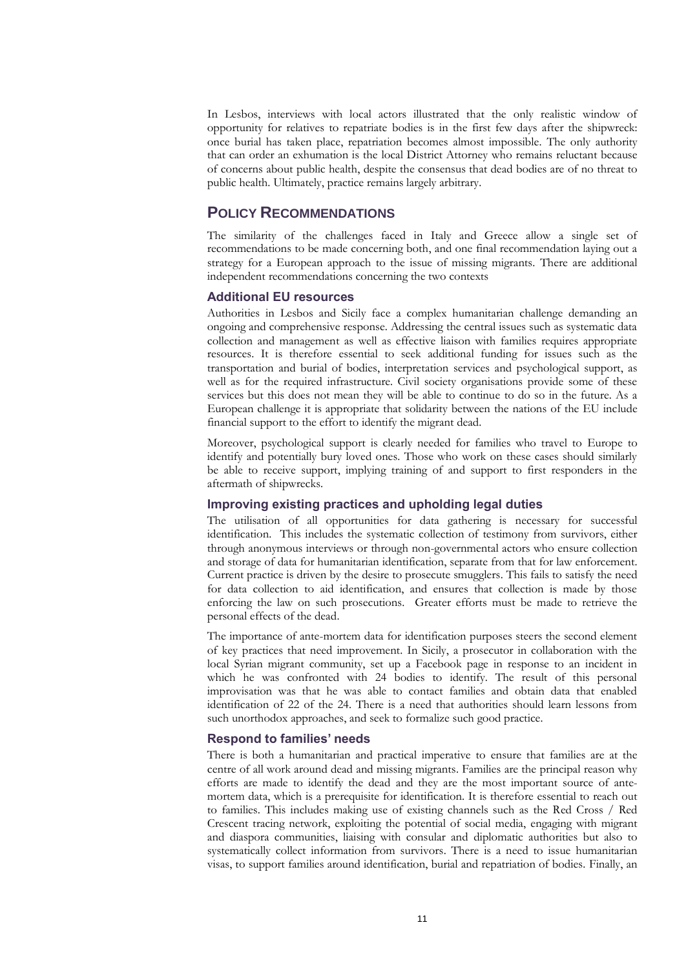In Lesbos, interviews with local actors illustrated that the only realistic window of opportunity for relatives to repatriate bodies is in the first few days after the shipwreck: once burial has taken place, repatriation becomes almost impossible. The only authority that can order an exhumation is the local District Attorney who remains reluctant because of concerns about public health, despite the consensus that dead bodies are of no threat to public health. Ultimately, practice remains largely arbitrary.

## **POLICY RECOMMENDATIONS**

The similarity of the challenges faced in Italy and Greece allow a single set of recommendations to be made concerning both, and one final recommendation laying out a strategy for a European approach to the issue of missing migrants. There are additional independent recommendations concerning the two contexts

#### **Additional EU resources**

Authorities in Lesbos and Sicily face a complex humanitarian challenge demanding an ongoing and comprehensive response. Addressing the central issues such as systematic data collection and management as well as effective liaison with families requires appropriate resources. It is therefore essential to seek additional funding for issues such as the transportation and burial of bodies, interpretation services and psychological support, as well as for the required infrastructure. Civil society organisations provide some of these services but this does not mean they will be able to continue to do so in the future. As a European challenge it is appropriate that solidarity between the nations of the EU include financial support to the effort to identify the migrant dead.

Moreover, psychological support is clearly needed for families who travel to Europe to identify and potentially bury loved ones. Those who work on these cases should similarly be able to receive support, implying training of and support to first responders in the aftermath of shipwrecks.

#### **Improving existing practices and upholding legal duties**

The utilisation of all opportunities for data gathering is necessary for successful identification. This includes the systematic collection of testimony from survivors, either through anonymous interviews or through non-governmental actors who ensure collection and storage of data for humanitarian identification, separate from that for law enforcement. Current practice is driven by the desire to prosecute smugglers. This fails to satisfy the need for data collection to aid identification, and ensures that collection is made by those enforcing the law on such prosecutions. Greater efforts must be made to retrieve the personal effects of the dead.

The importance of ante-mortem data for identification purposes steers the second element of key practices that need improvement. In Sicily, a prosecutor in collaboration with the local Syrian migrant community, set up a Facebook page in response to an incident in which he was confronted with 24 bodies to identify. The result of this personal improvisation was that he was able to contact families and obtain data that enabled identification of 22 of the 24. There is a need that authorities should learn lessons from such unorthodox approaches, and seek to formalize such good practice.

#### **Respond to families' needs**

There is both a humanitarian and practical imperative to ensure that families are at the centre of all work around dead and missing migrants. Families are the principal reason why efforts are made to identify the dead and they are the most important source of antemortem data, which is a prerequisite for identification. It is therefore essential to reach out to families. This includes making use of existing channels such as the Red Cross / Red Crescent tracing network, exploiting the potential of social media, engaging with migrant and diaspora communities, liaising with consular and diplomatic authorities but also to systematically collect information from survivors. There is a need to issue humanitarian visas, to support families around identification, burial and repatriation of bodies. Finally, an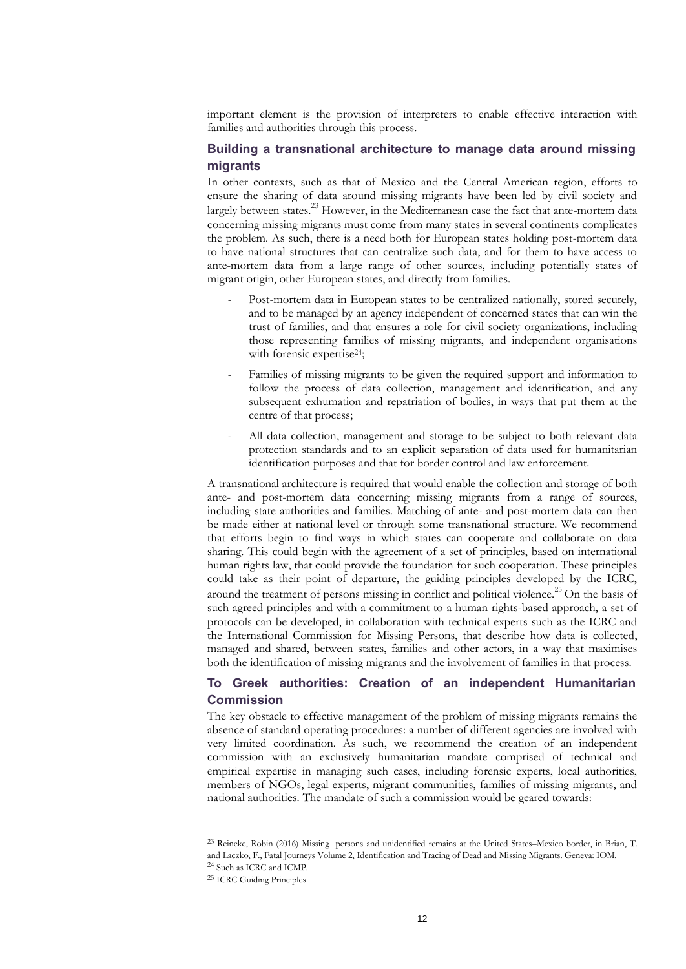important element is the provision of interpreters to enable effective interaction with families and authorities through this process.

## **Building a transnational architecture to manage data around missing migrants**

In other contexts, such as that of Mexico and the Central American region, efforts to ensure the sharing of data around missing migrants have been led by civil society and largely between states.<sup>23</sup> However, in the Mediterranean case the fact that ante-mortem data concerning missing migrants must come from many states in several continents complicates the problem. As such, there is a need both for European states holding post-mortem data to have national structures that can centralize such data, and for them to have access to ante-mortem data from a large range of other sources, including potentially states of migrant origin, other European states, and directly from families.

- Post-mortem data in European states to be centralized nationally, stored securely, and to be managed by an agency independent of concerned states that can win the trust of families, and that ensures a role for civil society organizations, including those representing families of missing migrants, and independent organisations with forensic expertise<sup>24</sup>;
- Families of missing migrants to be given the required support and information to follow the process of data collection, management and identification, and any subsequent exhumation and repatriation of bodies, in ways that put them at the centre of that process;
- All data collection, management and storage to be subject to both relevant data protection standards and to an explicit separation of data used for humanitarian identification purposes and that for border control and law enforcement.

A transnational architecture is required that would enable the collection and storage of both ante- and post-mortem data concerning missing migrants from a range of sources, including state authorities and families. Matching of ante- and post-mortem data can then be made either at national level or through some transnational structure. We recommend that efforts begin to find ways in which states can cooperate and collaborate on data sharing. This could begin with the agreement of a set of principles, based on international human rights law, that could provide the foundation for such cooperation. These principles could take as their point of departure, the guiding principles developed by the ICRC, around the treatment of persons missing in conflict and political violence.<sup>25</sup> On the basis of such agreed principles and with a commitment to a human rights-based approach, a set of protocols can be developed, in collaboration with technical experts such as the ICRC and the International Commission for Missing Persons, that describe how data is collected, managed and shared, between states, families and other actors, in a way that maximises both the identification of missing migrants and the involvement of families in that process.

#### **To Greek authorities: Creation of an independent Humanitarian Commission**

The key obstacle to effective management of the problem of missing migrants remains the absence of standard operating procedures: a number of different agencies are involved with very limited coordination. As such, we recommend the creation of an independent commission with an exclusively humanitarian mandate comprised of technical and empirical expertise in managing such cases, including forensic experts, local authorities, members of NGOs, legal experts, migrant communities, families of missing migrants, and national authorities. The mandate of such a commission would be geared towards:

<sup>23</sup> Reineke, Robin (2016) Missing persons and unidentified remains at the United States–Mexico border, in Brian, T. and Laczko, F., Fatal Journeys Volume 2, Identification and Tracing of Dead and Missing Migrants. Geneva: IOM. <sup>24</sup> Such as ICRC and ICMP.

<sup>25</sup> ICRC Guiding Principles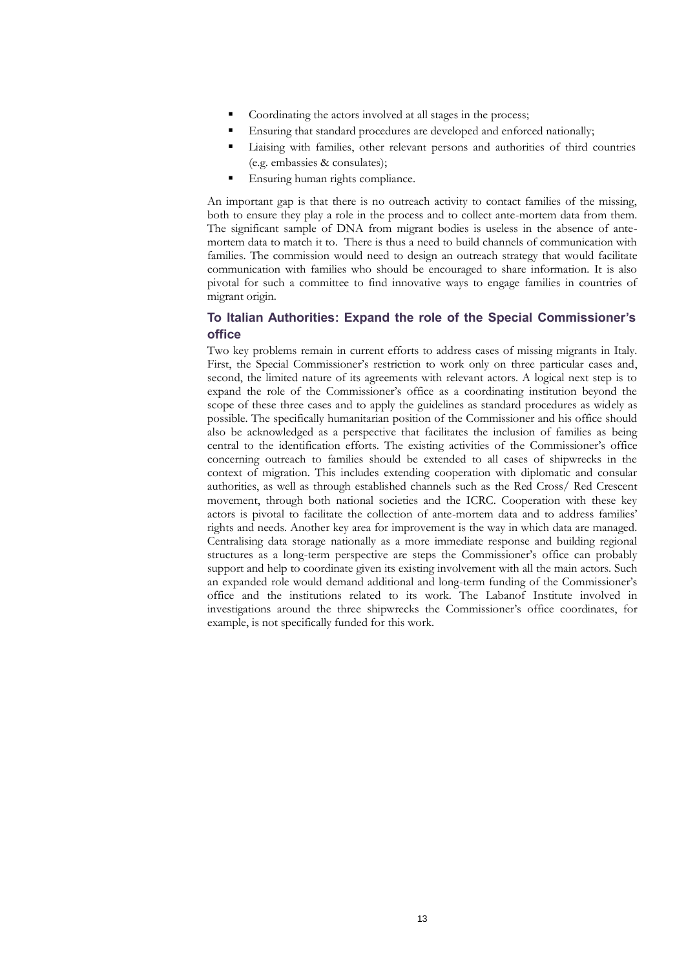- Coordinating the actors involved at all stages in the process;
- Ensuring that standard procedures are developed and enforced nationally;
- Liaising with families, other relevant persons and authorities of third countries (e.g. embassies & consulates);
- Ensuring human rights compliance.

An important gap is that there is no outreach activity to contact families of the missing, both to ensure they play a role in the process and to collect ante-mortem data from them. The significant sample of DNA from migrant bodies is useless in the absence of antemortem data to match it to. There is thus a need to build channels of communication with families. The commission would need to design an outreach strategy that would facilitate communication with families who should be encouraged to share information. It is also pivotal for such a committee to find innovative ways to engage families in countries of migrant origin.

#### **To Italian Authorities: Expand the role of the Special Commissioner's office**

Two key problems remain in current efforts to address cases of missing migrants in Italy. First, the Special Commissioner's restriction to work only on three particular cases and, second, the limited nature of its agreements with relevant actors. A logical next step is to expand the role of the Commissioner's office as a coordinating institution beyond the scope of these three cases and to apply the guidelines as standard procedures as widely as possible. The specifically humanitarian position of the Commissioner and his office should also be acknowledged as a perspective that facilitates the inclusion of families as being central to the identification efforts. The existing activities of the Commissioner's office concerning outreach to families should be extended to all cases of shipwrecks in the context of migration. This includes extending cooperation with diplomatic and consular authorities, as well as through established channels such as the Red Cross/ Red Crescent movement, through both national societies and the ICRC. Cooperation with these key actors is pivotal to facilitate the collection of ante-mortem data and to address families' rights and needs. Another key area for improvement is the way in which data are managed. Centralising data storage nationally as a more immediate response and building regional structures as a long-term perspective are steps the Commissioner's office can probably support and help to coordinate given its existing involvement with all the main actors. Such an expanded role would demand additional and long-term funding of the Commissioner's office and the institutions related to its work. The Labanof Institute involved in investigations around the three shipwrecks the Commissioner's office coordinates, for example, is not specifically funded for this work.